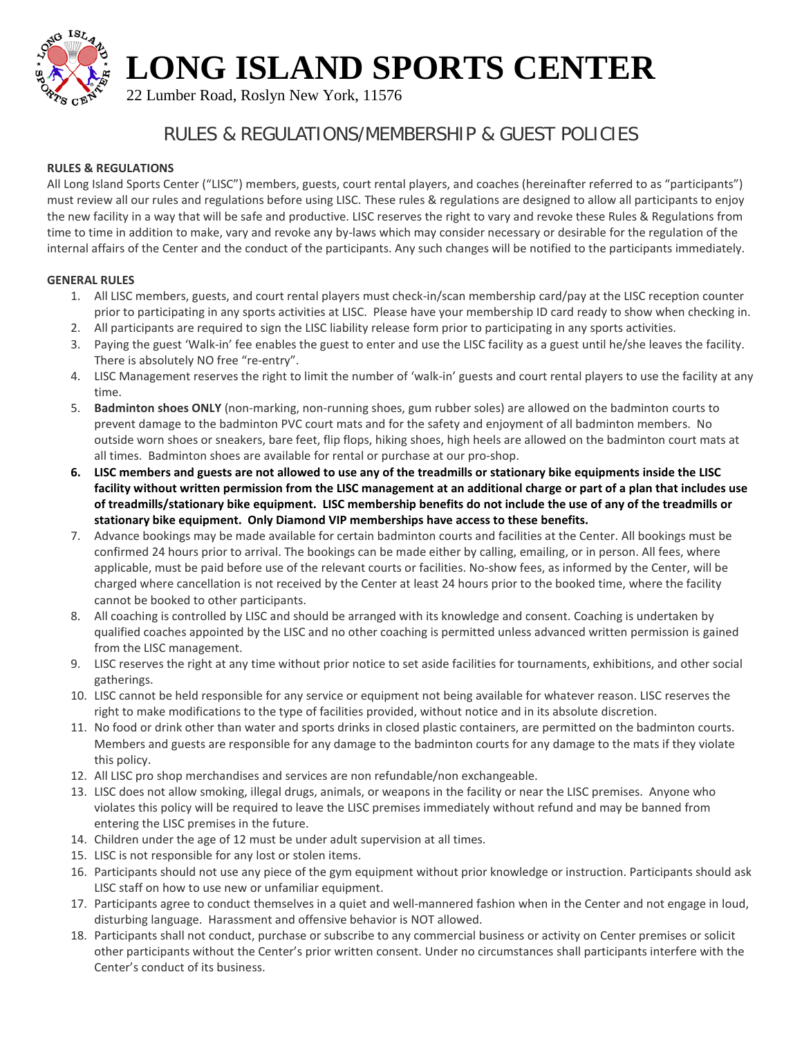**LONG ISLAND SPORTS CENTER**



22 Lumber Road, Roslyn New York, 11576

## RULES & REGULATIONS/MEMBERSHIP & GUEST POLICIES

### **RULES & REGULATIONS**

All Long Island Sports Center ("LISC") members, guests, court rental players, and coaches (hereinafter referred to as "participants") must review all our rules and regulations before using LISC. These rules & regulations are designed to allow all participants to enjoy the new facility in a way that will be safe and productive. LISC reserves the right to vary and revoke these Rules & Regulations from time to time in addition to make, vary and revoke any by-laws which may consider necessary or desirable for the regulation of the internal affairs of the Center and the conduct of the participants. Any such changes will be notified to the participants immediately.

### **GENERAL RULES**

- 1. All LISC members, guests, and court rental players must check-in/scan membership card/pay at the LISC reception counter prior to participating in any sports activities at LISC. Please have your membership ID card ready to show when checking in.
- 2. All participants are required to sign the LISC liability release form prior to participating in any sports activities.
- 3. Paying the guest 'Walk-in' fee enables the guest to enter and use the LISC facility as a guest until he/she leaves the facility. There is absolutely NO free "re-entry".
- 4. LISC Management reserves the right to limit the number of 'walk-in' guests and court rental players to use the facility at any time.
- 5. **Badminton shoes ONLY** (non-marking, non-running shoes, gum rubber soles) are allowed on the badminton courts to prevent damage to the badminton PVC court mats and for the safety and enjoyment of all badminton members. No outside worn shoes or sneakers, bare feet, flip flops, hiking shoes, high heels are allowed on the badminton court mats at all times. Badminton shoes are available for rental or purchase at our pro-shop.
- **6. LISC members and guests are not allowed to use any of the treadmills or stationary bike equipments inside the LISC facility without written permission from the LISC management at an additional charge or part of a plan that includes use of treadmills/stationary bike equipment. LISC membership benefits do not include the use of any of the treadmills or stationary bike equipment. Only Diamond VIP memberships have access to these benefits.**
- 7. Advance bookings may be made available for certain badminton courts and facilities at the Center. All bookings must be confirmed 24 hours prior to arrival. The bookings can be made either by calling, emailing, or in person. All fees, where applicable, must be paid before use of the relevant courts or facilities. No-show fees, as informed by the Center, will be charged where cancellation is not received by the Center at least 24 hours prior to the booked time, where the facility cannot be booked to other participants.
- 8. All coaching is controlled by LISC and should be arranged with its knowledge and consent. Coaching is undertaken by qualified coaches appointed by the LISC and no other coaching is permitted unless advanced written permission is gained from the LISC management.
- 9. LISC reserves the right at any time without prior notice to set aside facilities for tournaments, exhibitions, and other social gatherings.
- 10. LISC cannot be held responsible for any service or equipment not being available for whatever reason. LISC reserves the right to make modifications to the type of facilities provided, without notice and in its absolute discretion.
- 11. No food or drink other than water and sports drinks in closed plastic containers, are permitted on the badminton courts. Members and guests are responsible for any damage to the badminton courts for any damage to the mats if they violate this policy.
- 12. All LISC pro shop merchandises and services are non refundable/non exchangeable.
- 13. LISC does not allow smoking, illegal drugs, animals, or weapons in the facility or near the LISC premises. Anyone who violates this policy will be required to leave the LISC premises immediately without refund and may be banned from entering the LISC premises in the future.
- 14. Children under the age of 12 must be under adult supervision at all times.
- 15. LISC is not responsible for any lost or stolen items.
- 16. Participants should not use any piece of the gym equipment without prior knowledge or instruction. Participants should ask LISC staff on how to use new or unfamiliar equipment.
- 17. Participants agree to conduct themselves in a quiet and well-mannered fashion when in the Center and not engage in loud, disturbing language. Harassment and offensive behavior is NOT allowed.
- 18. Participants shall not conduct, purchase or subscribe to any commercial business or activity on Center premises or solicit other participants without the Center's prior written consent. Under no circumstances shall participants interfere with the Center's conduct of its business.